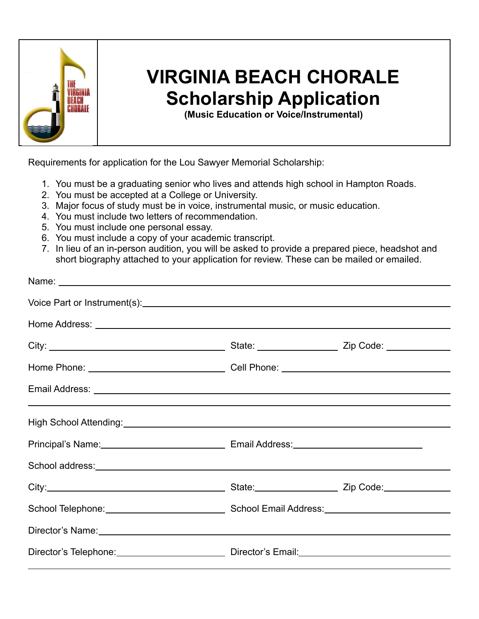

## **VIRGINIA BEACH CHORALE Scholarship Application**

**(Music Education or Voice/Instrumental)**

Requirements for application for the Lou Sawyer Memorial Scholarship:

- 1. You must be a graduating senior who lives and attends high school in Hampton Roads.
- 2. You must be accepted at a College or University.
- 3. Major focus of study must be in voice, instrumental music, or music education.
- 4. You must include two letters of recommendation.
- 5. You must include one personal essay.
- 6. You must include a copy of your academic transcript.
- 7. In lieu of an in-person audition, you will be asked to provide a prepared piece, headshot and short biography attached to your application for review. These can be mailed or emailed.

| Name: Name: Name: Name: Name: Name: Name: Name: Name: Name: Name: Name: Name: Name: Name: Name: Name: Name: Name: Name: Name: Name: Name: Name: Name: Name: Name: Name: Name: Name: Name: Name: Name: Name: Name: Name: Name:  |  |
|--------------------------------------------------------------------------------------------------------------------------------------------------------------------------------------------------------------------------------|--|
|                                                                                                                                                                                                                                |  |
|                                                                                                                                                                                                                                |  |
|                                                                                                                                                                                                                                |  |
|                                                                                                                                                                                                                                |  |
|                                                                                                                                                                                                                                |  |
| High School Attending: Notified and School Attending: Note that the second second second second second second second second second second second second second second second second second second second second second second  |  |
|                                                                                                                                                                                                                                |  |
| School address: example and the set of the set of the set of the set of the set of the set of the set of the set of the set of the set of the set of the set of the set of the set of the set of the set of the set of the set |  |
|                                                                                                                                                                                                                                |  |
|                                                                                                                                                                                                                                |  |
|                                                                                                                                                                                                                                |  |
|                                                                                                                                                                                                                                |  |